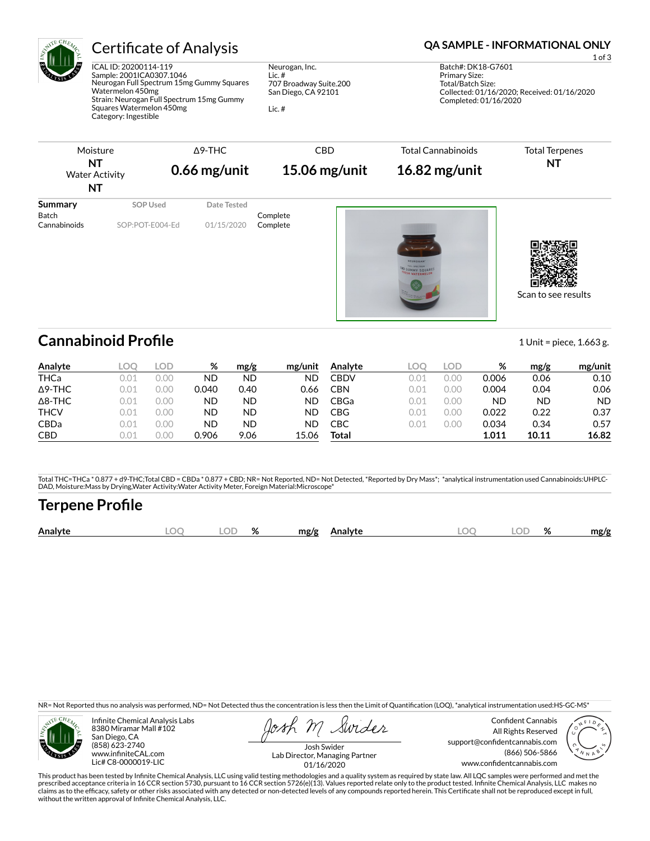

ICAL ID: 20200114-119 Sample: 2001ICA0307.1046 Neurogan Full Spectrum 15mg Gummy Squares Watermelon 450mg Strain: Neurogan Full Spectrum 15mg Gummy Squares Watermelon 450mg Category: Ingestible

Neurogan, Inc. Lic. # 707 Broadway Suite.200 San Diego, CA 92101

Lic. #

### Certificate of Analysis **Certificate of Analysis QA SAMPLE - INFORMATIONAL ONLY**

1 of 3 Batch#: DK18-G7601 Primary Size: Total/Batch Size: Collected: 01/16/2020; Received: 01/16/2020 Completed: 01/16/2020



Scan to see results

## **Cannabinoid Profile** 1.663 g.

**Analyte LOQ LOD % mg/g mg/unit** THCa 0.01 0.00 ND ND ND Δ9-THC 0.01 0.00 0.040 0.40 0.66 Δ8-THC 0.01 0.00 ND ND ND THCV 0.01 0.00 ND ND ND CBDa 0.01 0.00 ND ND ND CBD 0.01 0.00 0.906 9.06 15.06 **Analyte LOQ LOD % mg/g mg/unit** CBDV 0.01 0.00 0.006 0.06 0.10 CBN 0.01 0.00 0.004 0.04 0.06 CBGa 0.01 0.00 ND ND ND CBG 0.01 0.00 0.022 0.22 0.37 CBC 0.01 0.00 0.034 0.34 0.57 **Total 1.011 10.11 16.82**

Total THC=THCa \* 0.877 + d9-THC;Total CBD = CBDa \* 0.877 + CBD; NR= Not Reported, ND= Not Detected, \*Reported by Dry Mass\*; \*analytical instrumentation used Cannabinoids:UHPLC-DAD, Moisture:Mass by Drying,Water Activity:Water Activity Meter, Foreign Material:Microscope\*

# **Terpene Pro×le**

| Analyte | λC | $\sim$ | % | mg/g<br>Analyte<br>. | $\Omega$<br>๛ | ЭF | $\mathbf{a}$<br>7٥ | mg/g |
|---------|----|--------|---|----------------------|---------------|----|--------------------|------|
|         |    |        |   |                      |               |    |                    |      |

NR= Not Reported thus no analysis was performed, ND= Not Detected thus the concentration is less then the Limit of Quantification (LOQ), \*analytical instrumentation used:HS-GC-MS\*



Infinite Chemical Analysis Labs 8380 Miramar Mall #102 San Diego, CA (858) 623-2740 www.infiniteCAL.com Lic# C8-0000019-LIC

Swides

Confident Cannabis All Rights Reserved support@confidentcannabis.com (866) 506-5866 www.confidentcannabis.com



Josh Swider Lab Director, Managing Partner 01/16/2020

This product has been tested by Infinite Chemical Analysis, LLC using valid testing methodologies and a quality system as required by state law. All LQC samples were performed and met the prescribed acceptance criteria in 16 CCR section 5730, pursuant to 16 CCR section 5726(e)(13). Values reported relate only to the product tested. Infinite Chemical Analysis, LLC makes no<br>claims as to the efficacy, safety o without the written approval of Infinite Chemical Analysis, LLC.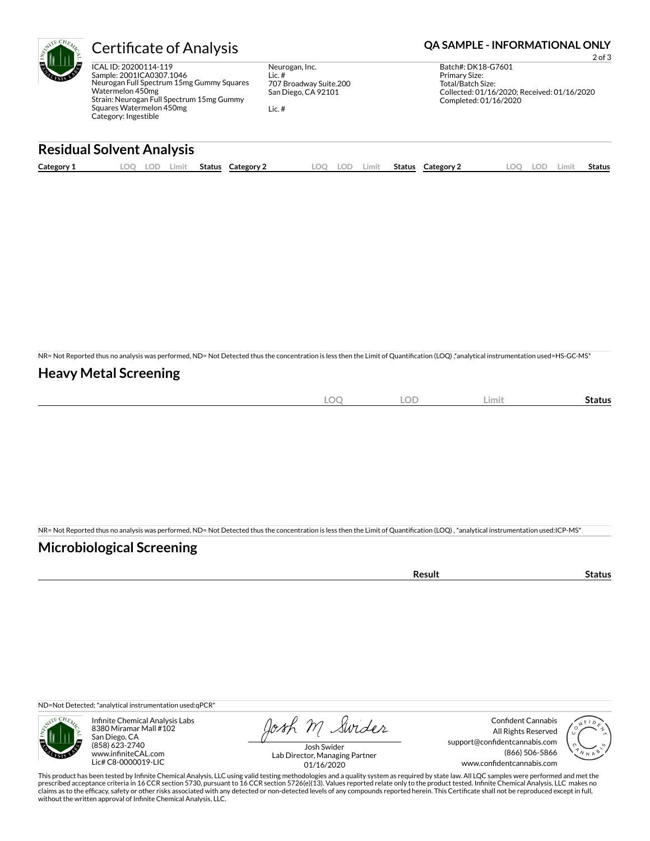

ICAL ID: 20200114-119 Sample: 2001ICA0307.1046 Neurogan Full Spectrum 15mg Gummy Squares Watermelon 450mg Strain: Neurogan Full Spectrum 15mg Gummy Squares Watermelon 450mg Category: Ingestible

Neurogan, Inc. Lic. # 707 Broadway Suite.200 San Diego, CA 92101

Lic. #

Certificate of Analysis **Certificate of Analysis QA SAMPLE - INFORMATIONAL ONLY** 

2 of 3

Batch#: DK18-G7601 Primary Size: Total/Batch Size: Collected: 01/16/2020; Received: 01/16/2020 Completed: 01/16/2020

### **Residual Solvent Analysis**

| Category 1 | $\sim$ $\sim$<br>∸ບ⊧<br><u>.</u> | Limit | <b>Status</b> | Category | OO | LOD | .imit | <b>Status</b> | Category 2 | $\bigcap$<br>$\sim$ | LOD. | Limi | <b>Status</b> |
|------------|----------------------------------|-------|---------------|----------|----|-----|-------|---------------|------------|---------------------|------|------|---------------|
|            |                                  |       |               |          |    |     |       |               |            |                     |      |      |               |

NR= Not Reported thus no analysis was performed, ND= Not Detected thus the concentration is less then the Limit of Quantification (LOQ),\*analytical instrumentation used=HS-GC-MS\*

#### **Heavy Metal Screening**

| $\sim$<br>∼<br>$\sim$ | <b>LOD</b> | Limit | status |
|-----------------------|------------|-------|--------|
|                       |            |       |        |

NR= Not Reported thus no analysis was performed, ND= Not Detected thus the concentration is less then the Limit of Quantification (LOQ), \*analytical instrumentation used:ICP-MS\*

### **Microbiological Screening**

| . |  |
|---|--|
|   |  |

ND=Not Detected; \*analytical instrumentation used:qPCR\*



Infinite Chemical Analysis Labs 8380 Miramar Mall #102 San Diego, CA (858) 623-2740 www.infiniteCAL.com Lic# C8-0000019-LIC

Josh M Swider

Confident Cannabis All Rights Reserved support@confidentcannabis.com (866) 506-5866 www.confidentcannabis.com



Josh Swider Lab Director, Managing Partner 01/16/2020

This product has been tested by Infinite Chemical Analysis, LLC using valid testing methodologies and a quality system as required by state law. All LQC samples were performed and met the prescribed acceptance criteria in 16 CCR section 5730, pursuant to 16 CCR section 5726(e)(13). Values reported relate only to the product tested. Infinite Chemical Analysis, LLC makes no<br>claims as to the efficacy, safety o without the written approval of Infinite Chemical Analysis, LLC.